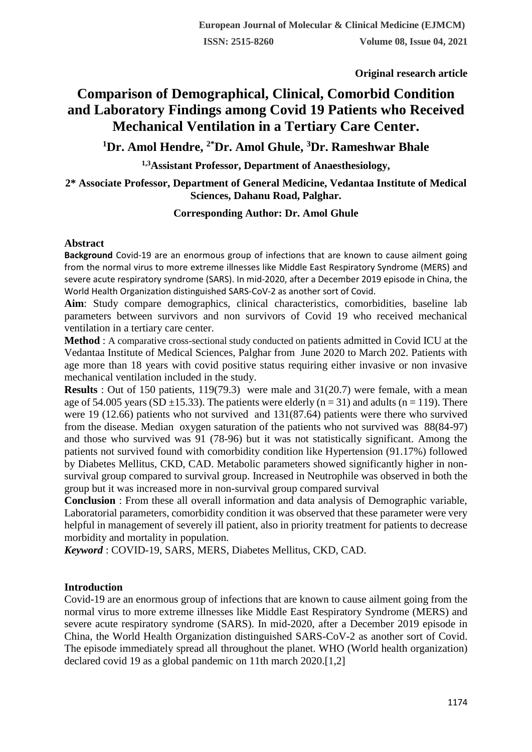**Original research article** 

# **Comparison of Demographical, Clinical, Comorbid Condition and Laboratory Findings among Covid 19 Patients who Received Mechanical Ventilation in a Tertiary Care Center.**

# **<sup>1</sup>Dr. Amol Hendre, 2\*Dr. Amol Ghule, <sup>3</sup>Dr. Rameshwar Bhale**

**1,3Assistant Professor, Department of Anaesthesiology,**

## **2\* Associate Professor, Department of General Medicine, Vedantaa Institute of Medical Sciences, Dahanu Road, Palghar.**

## **Corresponding Author: Dr. Amol Ghule**

#### **Abstract**

**Background** Covid-19 are an enormous group of infections that are known to cause ailment going from the normal virus to more extreme illnesses like Middle East Respiratory Syndrome (MERS) and severe acute respiratory syndrome (SARS). In mid-2020, after a December 2019 episode in China, the World Health Organization distinguished SARS-CoV-2 as another sort of Covid.

Aim: Study compare demographics, clinical characteristics, comorbidities, baseline lab parameters between survivors and non survivors of Covid 19 who received mechanical ventilation in a tertiary care center.

**Method** : A comparative cross-sectional study conducted on patients admitted in Covid ICU at the Vedantaa Institute of Medical Sciences, Palghar from June 2020 to March 202. Patients with age more than 18 years with covid positive status requiring either invasive or non invasive mechanical ventilation included in the study.

**Results** : Out of 150 patients, 119(79.3) were male and 31(20.7) were female, with a mean age of 54.005 years (SD  $\pm$ 15.33). The patients were elderly (n = 31) and adults (n = 119). There were 19 (12.66) patients who not survived and 131(87.64) patients were there who survived from the disease. Median oxygen saturation of the patients who not survived was 88(84-97) and those who survived was 91 (78-96) but it was not statistically significant. Among the patients not survived found with comorbidity condition like Hypertension (91.17%) followed by Diabetes Mellitus, CKD, CAD. Metabolic parameters showed significantly higher in nonsurvival group compared to survival group. Increased in Neutrophile was observed in both the group but it was increased more in non-survival group compared survival

**Conclusion** : From these all overall information and data analysis of Demographic variable, Laboratorial parameters, comorbidity condition it was observed that these parameter were very helpful in management of severely ill patient, also in priority treatment for patients to decrease morbidity and mortality in population.

*Keyword* : COVID-19, SARS, MERS, Diabetes Mellitus, CKD, CAD.

### **Introduction**

Covid-19 are an enormous group of infections that are known to cause ailment going from the normal virus to more extreme illnesses like Middle East Respiratory Syndrome (MERS) and severe acute respiratory syndrome (SARS). In mid-2020, after a December 2019 episode in China, the World Health Organization distinguished SARS-CoV-2 as another sort of Covid. The episode immediately spread all throughout the planet. WHO (World health organization) declared covid 19 as a global pandemic on 11th march 2020.[1,2]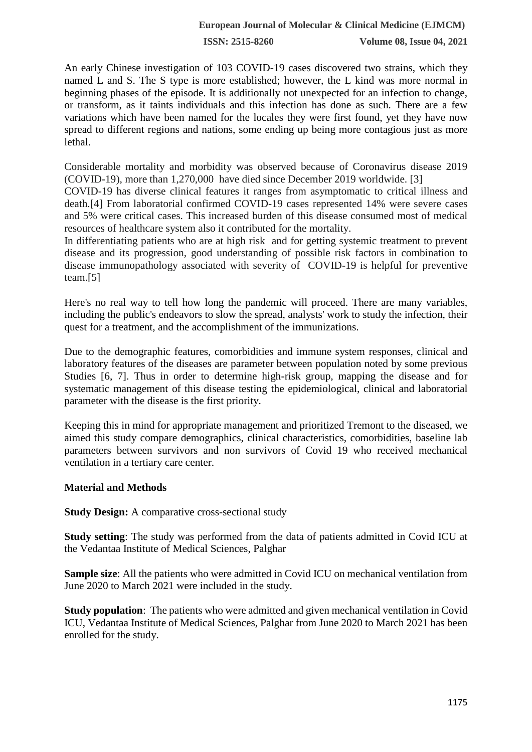An early Chinese investigation of 103 COVID-19 cases discovered two strains, which they named L and S. The S type is more established; however, the L kind was more normal in beginning phases of the episode. It is additionally not unexpected for an infection to change, or transform, as it taints individuals and this infection has done as such. There are a few variations which have been named for the locales they were first found, yet they have now spread to different regions and nations, some ending up being more contagious just as more lethal.

Considerable mortality and morbidity was observed because of Coronavirus disease 2019 (COVID-19), more than 1,270,000 have died since December 2019 worldwide. [3]

COVID-19 has diverse clinical features it ranges from asymptomatic to critical illness and death.[4] From laboratorial confirmed COVID-19 cases represented 14% were severe cases and 5% were critical cases. This increased burden of this disease consumed most of medical resources of healthcare system also it contributed for the mortality.

In differentiating patients who are at high risk and for getting systemic treatment to prevent disease and its progression, good understanding of possible risk factors in combination to disease immunopathology associated with severity of COVID-19 is helpful for preventive team.[5]

Here's no real way to tell how long the pandemic will proceed. There are many variables, including the public's endeavors to slow the spread, analysts' work to study the infection, their quest for a treatment, and the accomplishment of the immunizations.

Due to the demographic features, comorbidities and immune system responses, clinical and laboratory features of the diseases are parameter between population noted by some previous Studies [6, 7]. Thus in order to determine high-risk group, mapping the disease and for systematic management of this disease testing the epidemiological, clinical and laboratorial parameter with the disease is the first priority.

Keeping this in mind for appropriate management and prioritized Tremont to the diseased, we aimed this study compare demographics, clinical characteristics, comorbidities, baseline lab parameters between survivors and non survivors of Covid 19 who received mechanical ventilation in a tertiary care center.

### **Material and Methods**

**Study Design:** A comparative cross-sectional study

**Study setting**: The study was performed from the data of patients admitted in Covid ICU at the Vedantaa Institute of Medical Sciences, Palghar

**Sample size**: All the patients who were admitted in Covid ICU on mechanical ventilation from June 2020 to March 2021 were included in the study.

**Study population**: The patients who were admitted and given mechanical ventilation in Covid ICU, Vedantaa Institute of Medical Sciences, Palghar from June 2020 to March 2021 has been enrolled for the study.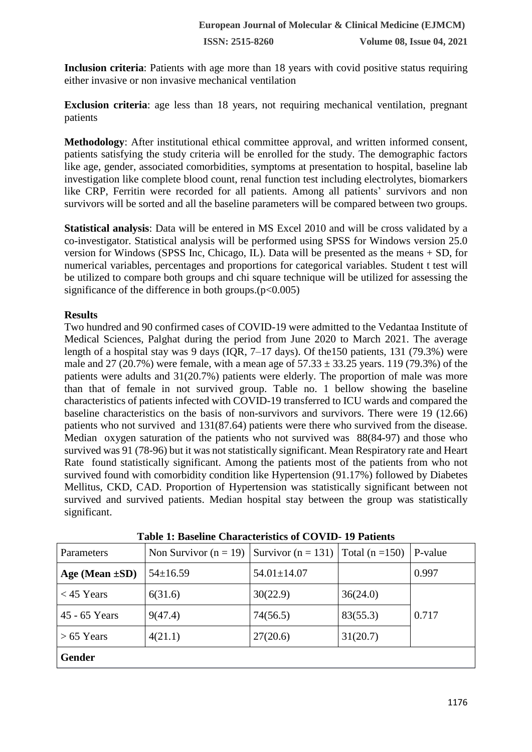**Inclusion criteria**: Patients with age more than 18 years with covid positive status requiring either invasive or non invasive mechanical ventilation

**Exclusion criteria**: age less than 18 years, not requiring mechanical ventilation, pregnant patients

**Methodology**: After institutional ethical committee approval, and written informed consent, patients satisfying the study criteria will be enrolled for the study. The demographic factors like age, gender, associated comorbidities, symptoms at presentation to hospital, baseline lab investigation like complete blood count, renal function test including electrolytes, biomarkers like CRP, Ferritin were recorded for all patients. Among all patients' survivors and non survivors will be sorted and all the baseline parameters will be compared between two groups.

**Statistical analysis**: Data will be entered in MS Excel 2010 and will be cross validated by a co-investigator. Statistical analysis will be performed using SPSS for Windows version 25.0 version for Windows (SPSS Inc, Chicago, IL). Data will be presented as the means + SD, for numerical variables, percentages and proportions for categorical variables. Student t test will be utilized to compare both groups and chi square technique will be utilized for assessing the significance of the difference in both groups. $(p<0.005)$ 

#### **Results**

Two hundred and 90 confirmed cases of COVID-19 were admitted to the Vedantaa Institute of Medical Sciences, Palghat during the period from June 2020 to March 2021. The average length of a hospital stay was 9 days (IQR, 7–17 days). Of the150 patients, 131 (79.3%) were male and 27 (20.7%) were female, with a mean age of  $57.33 \pm 33.25$  years. 119 (79.3%) of the patients were adults and 31(20.7%) patients were elderly. The proportion of male was more than that of female in not survived group. Table no. 1 bellow showing the baseline characteristics of patients infected with COVID-19 transferred to ICU wards and compared the baseline characteristics on the basis of non-survivors and survivors. There were 19 (12.66) patients who not survived and 131(87.64) patients were there who survived from the disease. Median oxygen saturation of the patients who not survived was 88(84-97) and those who survived was 91 (78-96) but it was not statistically significant. Mean Respiratory rate and Heart Rate found statistically significant. Among the patients most of the patients from who not survived found with comorbidity condition like Hypertension (91.17%) followed by Diabetes Mellitus, CKD, CAD. Proportion of Hypertension was statistically significant between not survived and survived patients. Median hospital stay between the group was statistically significant.

| <b>Parameters</b>    | Non Survivor $(n = 19)$ | Survivor (n = 131)   Total (n = 150) |          | P-value |  |
|----------------------|-------------------------|--------------------------------------|----------|---------|--|
| Age (Mean $\pm SD$ ) | $54 \pm 16.59$          | $54.01 \pm 14.07$                    |          | 0.997   |  |
| $<$ 45 Years         | 6(31.6)                 | 30(22.9)                             | 36(24.0) |         |  |
| 45 - 65 Years        | 9(47.4)                 | 74(56.5)                             | 83(55.3) | 0.717   |  |
| $> 65$ Years         | 4(21.1)                 | 27(20.6)                             | 31(20.7) |         |  |
| <b>Gender</b>        |                         |                                      |          |         |  |

**Table 1: Baseline Characteristics of COVID- 19 Patients**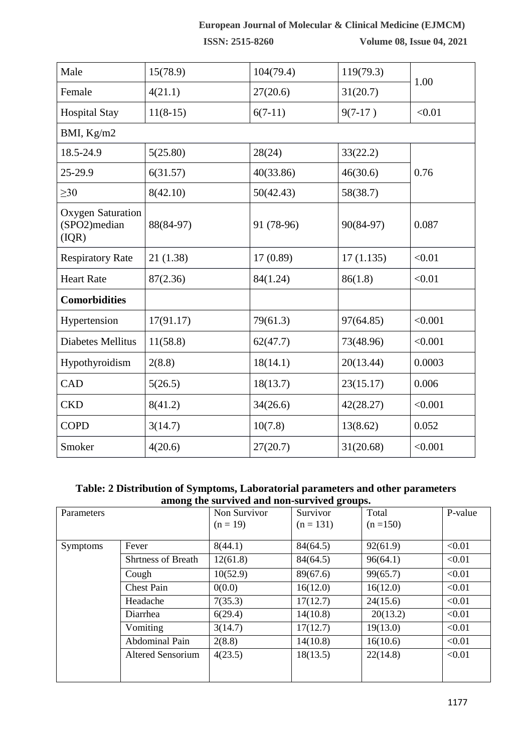## **European Journal of Molecular & Clinical Medicine (EJMCM)**

**ISSN: 2515-8260 Volume 08, Issue 04, 2021**

| Male                                              | 15(78.9)   | 104(79.4)  | 119(79.3) | 1.00    |  |  |
|---------------------------------------------------|------------|------------|-----------|---------|--|--|
| Female                                            | 4(21.1)    | 27(20.6)   | 31(20.7)  |         |  |  |
| <b>Hospital Stay</b>                              | $11(8-15)$ | $6(7-11)$  | $9(7-17)$ | < 0.01  |  |  |
| BMI, Kg/m2                                        |            |            |           |         |  |  |
| 18.5-24.9                                         | 5(25.80)   | 28(24)     | 33(22.2)  | 0.76    |  |  |
| 25-29.9                                           | 6(31.57)   | 40(33.86)  | 46(30.6)  |         |  |  |
| $\geq 30$                                         | 8(42.10)   | 50(42.43)  | 58(38.7)  |         |  |  |
| <b>Oxygen Saturation</b><br>(SPO2)median<br>(IQR) | 88(84-97)  | 91 (78-96) | 90(84-97) | 0.087   |  |  |
| <b>Respiratory Rate</b>                           | 21(1.38)   | 17(0.89)   | 17(1.135) | < 0.01  |  |  |
| <b>Heart Rate</b>                                 | 87(2.36)   | 84(1.24)   | 86(1.8)   | < 0.01  |  |  |
| <b>Comorbidities</b>                              |            |            |           |         |  |  |
| Hypertension                                      | 17(91.17)  | 79(61.3)   | 97(64.85) | < 0.001 |  |  |
| Diabetes Mellitus                                 | 11(58.8)   | 62(47.7)   | 73(48.96) | < 0.001 |  |  |
| Hypothyroidism                                    | 2(8.8)     | 18(14.1)   | 20(13.44) | 0.0003  |  |  |
| CAD                                               | 5(26.5)    | 18(13.7)   | 23(15.17) | 0.006   |  |  |
| <b>CKD</b>                                        | 8(41.2)    | 34(26.6)   | 42(28.27) | < 0.001 |  |  |
| <b>COPD</b>                                       | 3(14.7)    | 10(7.8)    | 13(8.62)  | 0.052   |  |  |
| Smoker                                            | 4(20.6)    | 27(20.7)   | 31(20.68) | < 0.001 |  |  |

### **Table: 2 Distribution of Symptoms, Laboratorial parameters and other parameters among the survived and non-survived groups.**

| Parameters      |                           | Non Survivor | Survivor    | Total       | P-value |
|-----------------|---------------------------|--------------|-------------|-------------|---------|
|                 |                           | $(n = 19)$   | $(n = 131)$ | $(n = 150)$ |         |
|                 |                           |              |             |             |         |
| <b>Symptoms</b> | Fever                     | 8(44.1)      | 84(64.5)    | 92(61.9)    | < 0.01  |
|                 | <b>Shrtness of Breath</b> | 12(61.8)     | 84(64.5)    | 96(64.1)    | < 0.01  |
|                 | Cough                     | 10(52.9)     | 89(67.6)    | 99(65.7)    | < 0.01  |
|                 | <b>Chest Pain</b>         | 0(0.0)       | 16(12.0)    | 16(12.0)    | < 0.01  |
|                 | Headache                  | 7(35.3)      | 17(12.7)    | 24(15.6)    | < 0.01  |
|                 | Diarrhea                  | 6(29.4)      | 14(10.8)    | 20(13.2)    | < 0.01  |
|                 | Vomiting                  | 3(14.7)      | 17(12.7)    | 19(13.0)    | < 0.01  |
|                 | Abdominal Pain            | 2(8.8)       | 14(10.8)    | 16(10.6)    | < 0.01  |
|                 | <b>Altered Sensorium</b>  | 4(23.5)      | 18(13.5)    | 22(14.8)    | < 0.01  |
|                 |                           |              |             |             |         |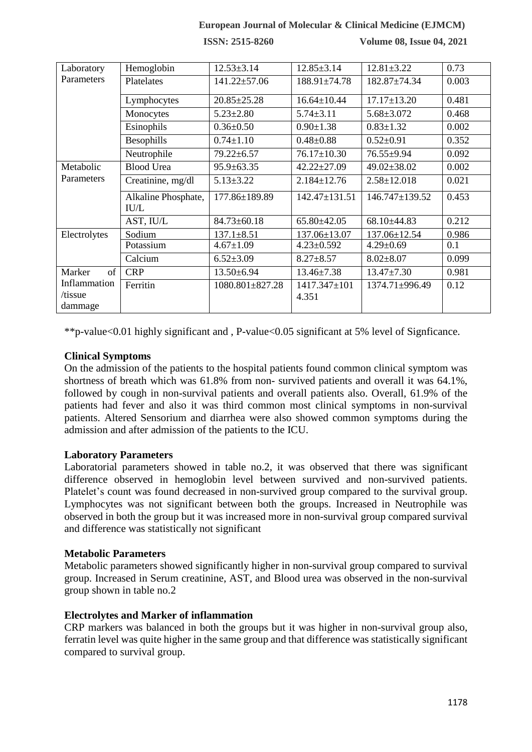#### **European Journal of Molecular & Clinical Medicine (EJMCM)**

**ISSN: 2515-8260 Volume 08, Issue 04, 2021**

| Laboratory                         | Hemoglobin                  | $12.53 \pm 3.14$      | $12.85 \pm 3.14$      | $12.81 \pm 3.22$  | 0.73  |
|------------------------------------|-----------------------------|-----------------------|-----------------------|-------------------|-------|
| Parameters                         | Platelates                  | $141.22 \pm 57.06$    | 188.91±74.78          | 182.87±74.34      | 0.003 |
|                                    | Lymphocytes                 | $20.85 \pm 25.28$     | $16.64 \pm 10.44$     | $17.17 \pm 13.20$ | 0.481 |
|                                    | Monocytes                   | $5.23 \pm 2.80$       | $5.74 \pm 3.11$       | $5.68 \pm 3.072$  | 0.468 |
|                                    | Esinophils                  | $0.36 \pm 0.50$       | $0.90 \pm 1.38$       | $0.83 \pm 1.32$   | 0.002 |
|                                    | Besophills                  | $0.74 \pm 1.10$       | $0.48 \pm 0.88$       | $0.52 \pm 0.91$   | 0.352 |
|                                    | Neutrophile                 | $79.22 \pm 6.57$      | $76.17 \pm 10.30$     | 76.55±9.94        | 0.092 |
| Metabolic                          | <b>Blood Urea</b>           | $95.9 \pm 63.35$      | $42.22 \pm 27.09$     | 49.02±38.02       | 0.002 |
| Parameters                         | Creatinine, mg/dl           | $5.13 \pm 3.22$       | $2.184 \pm 12.76$     | $2.58 \pm 12.018$ | 0.021 |
|                                    | Alkaline Phosphate,<br>IU/L | 177.86±189.89         | $142.47 \pm 131.51$   | 146.747±139.52    | 0.453 |
|                                    | AST, IU/L                   | $84.73 \pm 60.18$     | $65.80\pm42.05$       | 68.10±44.83       | 0.212 |
| Electrolytes                       | Sodium                      | $137.1 \pm 8.51$      | 137.06±13.07          | 137.06±12.54      | 0.986 |
|                                    | Potassium                   | $4.67 \pm 1.09$       | $4.23 \pm 0.592$      | $4.29 \pm 0.69$   | 0.1   |
|                                    | Calcium                     | $6.52 \pm 3.09$       | $8.27 \pm 8.57$       | $8.02 \pm 8.07$   | 0.099 |
| of<br>Marker                       | <b>CRP</b>                  | $13.50 \pm 6.94$      | $13.46 \pm 7.38$      | $13.47 \pm 7.30$  | 0.981 |
| Inflammation<br>/tissue<br>dammage | Ferritin                    | $1080.801 \pm 827.28$ | 1417.347±101<br>4.351 | 1374.71±996.49    | 0.12  |

\*\*p-value<0.01 highly significant and , P-value<0.05 significant at 5% level of Signficance.

#### **Clinical Symptoms**

On the admission of the patients to the hospital patients found common clinical symptom was shortness of breath which was 61.8% from non- survived patients and overall it was 64.1%, followed by cough in non-survival patients and overall patients also. Overall, 61.9% of the patients had fever and also it was third common most clinical symptoms in non-survival patients. Altered Sensorium and diarrhea were also showed common symptoms during the admission and after admission of the patients to the ICU.

#### **Laboratory Parameters**

Laboratorial parameters showed in table no.2, it was observed that there was significant difference observed in hemoglobin level between survived and non-survived patients. Platelet's count was found decreased in non-survived group compared to the survival group. Lymphocytes was not significant between both the groups. Increased in Neutrophile was observed in both the group but it was increased more in non-survival group compared survival and difference was statistically not significant

#### **Metabolic Parameters**

Metabolic parameters showed significantly higher in non-survival group compared to survival group. Increased in Serum creatinine, AST, and Blood urea was observed in the non-survival group shown in table no.2

#### **Electrolytes and Marker of inflammation**

CRP markers was balanced in both the groups but it was higher in non-survival group also, ferratin level was quite higher in the same group and that difference was statistically significant compared to survival group.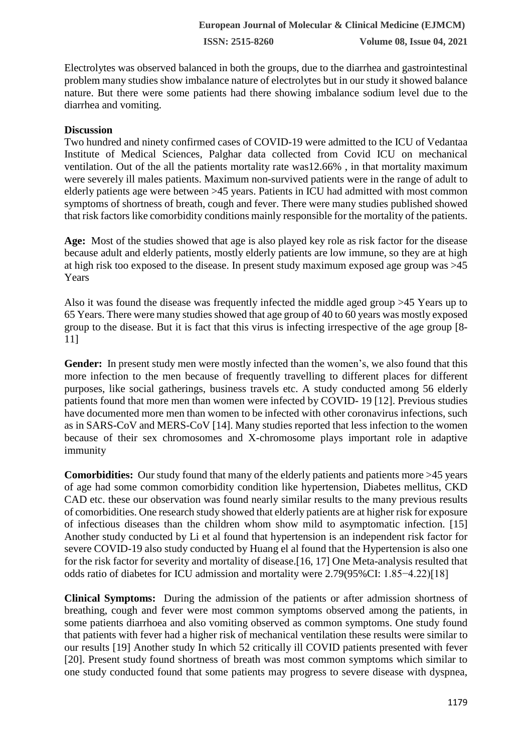Electrolytes was observed balanced in both the groups, due to the diarrhea and gastrointestinal problem many studies show imbalance nature of electrolytes but in our study it showed balance nature. But there were some patients had there showing imbalance sodium level due to the diarrhea and vomiting.

#### **Discussion**

Two hundred and ninety confirmed cases of COVID-19 were admitted to the ICU of Vedantaa Institute of Medical Sciences, Palghar data collected from Covid ICU on mechanical ventilation. Out of the all the patients mortality rate was12.66% , in that mortality maximum were severely ill males patients. Maximum non-survived patients were in the range of adult to elderly patients age were between >45 years. Patients in ICU had admitted with most common symptoms of shortness of breath, cough and fever. There were many studies published showed that risk factors like comorbidity conditions mainly responsible for the mortality of the patients.

**Age:** Most of the studies showed that age is also played key role as risk factor for the disease because adult and elderly patients, mostly elderly patients are low immune, so they are at high at high risk too exposed to the disease. In present study maximum exposed age group was >45 Years

Also it was found the disease was frequently infected the middle aged group >45 Years up to 65 Years. There were many studies showed that age group of 40 to 60 years was mostly exposed group to the disease. But it is fact that this virus is infecting irrespective of the age group [8- 11]

**Gender:** In present study men were mostly infected than the women's, we also found that this more infection to the men because of frequently travelling to different places for different purposes, like social gatherings, business travels etc. A study conducted among 56 elderly patients found that more men than women were infected by COVID- 19 [12]. Previous studies have documented more men than women to be infected with other coronavirus infections, such as in SARS-CoV and MERS-CoV [14]. Many studies reported that less infection to the women because of their sex chromosomes and X-chromosome plays important role in adaptive immunity

**Comorbidities:** Our study found that many of the elderly patients and patients more >45 years of age had some common comorbidity condition like hypertension, Diabetes mellitus, CKD CAD etc. these our observation was found nearly similar results to the many previous results of comorbidities. One research study showed that elderly patients are at higher risk for exposure of infectious diseases than the children whom show mild to asymptomatic infection. [15] Another study conducted by Li et al found that hypertension is an independent risk factor for severe COVID-19 also study conducted by Huang el al found that the Hypertension is also one for the risk factor for severity and mortality of disease.[16, 17] One Meta-analysis resulted that odds ratio of diabetes for ICU admission and mortality were 2.79(95%CI: 1.85−4.22)[18]

**Clinical Symptoms:** During the admission of the patients or after admission shortness of breathing, cough and fever were most common symptoms observed among the patients, in some patients diarrhoea and also vomiting observed as common symptoms. One study found that patients with fever had a higher risk of mechanical ventilation these results were similar to our results [19] Another study In which 52 critically ill COVID patients presented with fever [20]. Present study found shortness of breath was most common symptoms which similar to one study conducted found that some patients may progress to severe disease with dyspnea,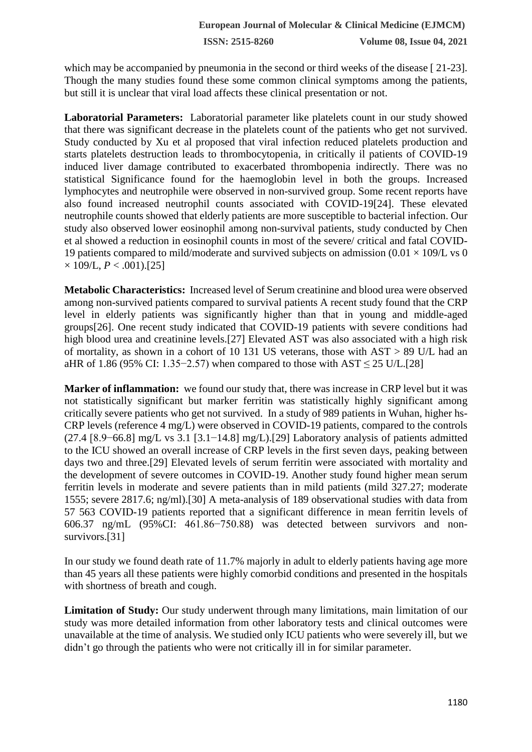which may be accompanied by pneumonia in the second or third weeks of the disease [ 21-23]. Though the many studies found these some common clinical symptoms among the patients, but still it is unclear that viral load affects these clinical presentation or not.

**Laboratorial Parameters:** Laboratorial parameter like platelets count in our study showed that there was significant decrease in the platelets count of the patients who get not survived. Study conducted by Xu et al proposed that viral infection reduced platelets production and starts platelets destruction leads to thrombocytopenia, in critically il patients of COVID-19 induced liver damage contributed to exacerbated thrombopenia indirectly. There was no statistical Significance found for the haemoglobin level in both the groups. Increased lymphocytes and neutrophile were observed in non-survived group. Some recent reports have also found increased neutrophil counts associated with COVID-19[24]. These elevated neutrophile counts showed that elderly patients are more susceptible to bacterial infection. Our study also observed lower eosinophil among non-survival patients, study conducted by Chen et al showed a reduction in eosinophil counts in most of the severe/ critical and fatal COVID-19 patients compared to mild/moderate and survived subjects on admission  $(0.01 \times 109/L \text{ vs } 0$  $\times$  109/L, *P* < .001).[25]

**Metabolic Characteristics:** Increased level of Serum creatinine and blood urea were observed among non-survived patients compared to survival patients A recent study found that the CRP level in elderly patients was significantly higher than that in young and middle-aged groups[26]. One recent study indicated that COVID-19 patients with severe conditions had high blood urea and creatinine levels.[27] Elevated AST was also associated with a high risk of mortality, as shown in a cohort of 10 131 US veterans, those with AST > 89 U/L had an aHR of 1.86 (95% CI: 1.35–2.57) when compared to those with  $AST \le 25$  U/L.[28]

**Marker of inflammation:** we found our study that, there was increase in CRP level but it was not statistically significant but marker ferritin was statistically highly significant among critically severe patients who get not survived. In a study of 989 patients in Wuhan, higher hs-CRP levels (reference 4 mg/L) were observed in COVID-19 patients, compared to the controls (27.4 [8.9−66.8] mg/L vs 3.1 [3.1−14.8] mg/L).[29] Laboratory analysis of patients admitted to the ICU showed an overall increase of CRP levels in the first seven days, peaking between days two and three.[29] Elevated levels of serum ferritin were associated with mortality and the development of severe outcomes in COVID-19. Another study found higher mean serum ferritin levels in moderate and severe patients than in mild patients (mild 327.27; moderate 1555; severe 2817.6; ng/ml).[30] A meta-analysis of 189 observational studies with data from 57 563 COVID-19 patients reported that a significant difference in mean ferritin levels of 606.37 ng/mL (95%CI: 461.86−750.88) was detected between survivors and nonsurvivors.[31]

In our study we found death rate of 11.7% majorly in adult to elderly patients having age more than 45 years all these patients were highly comorbid conditions and presented in the hospitals with shortness of breath and cough.

**Limitation of Study:** Our study underwent through many limitations, main limitation of our study was more detailed information from other laboratory tests and clinical outcomes were unavailable at the time of analysis. We studied only ICU patients who were severely ill, but we didn't go through the patients who were not critically ill in for similar parameter.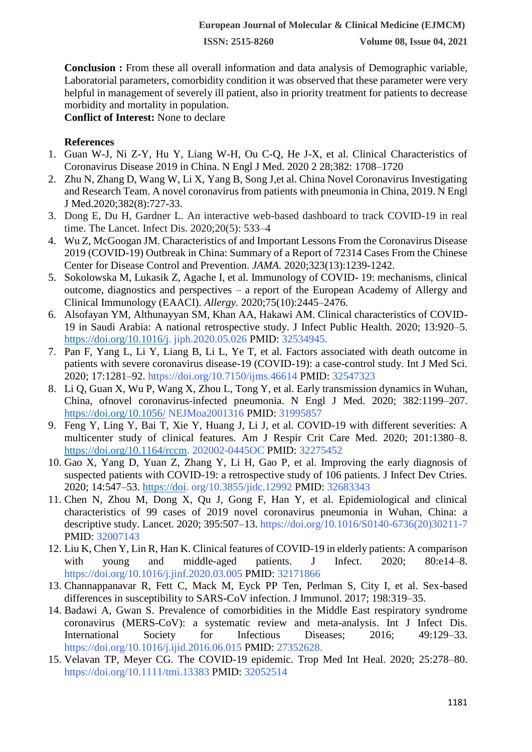**Conclusion :** From these all overall information and data analysis of Demographic variable, Laboratorial parameters, comorbidity condition it was observed that these parameter were very helpful in management of severely ill patient, also in priority treatment for patients to decrease morbidity and mortality in population.

**Conflict of Interest:** None to declare

#### **References**

- 1. Guan W-J, Ni Z-Y, Hu Y, Liang W-H, Ou C-Q, He J-X, et al. Clinical Characteristics of Coronavirus Disease 2019 in China. N Engl J Med. 2020 2 28;382: 1708–1720
- 2. Zhu N, Zhang D, Wang W, Li X, Yang B, Song J,et al. China Novel Coronavirus Investigating and Research Team. A novel coronavirus from patients with pneumonia in China, 2019. N Engl J Med.2020;382(8):727-33.
- 3. Dong E, Du H, Gardner L. An interactive web-based dashboard to track COVID-19 in real time. The Lancet. Infect Dis. 2020;20(5): 533–4
- 4. Wu Z, McGoogan JM. Characteristics of and Important Lessons From the Coronavirus Disease 2019 (COVID-19) Outbreak in China: Summary of a Report of 72314 Cases From the Chinese Center for Disease Control and Prevention. *JAMA.* 2020;323(13):1239-1242.
- 5. Sokolowska M, Lukasik Z, Agache I, et al. Immunology of COVID- 19: mechanisms, clinical outcome, diagnostics and perspectives – a report of the European Academy of Allergy and Clinical Immunology (EAACI). *Allergy.* 2020;75(10):2445–2476.
- 6. Alsofayan YM, Althunayyan SM, Khan AA, Hakawi AM. Clinical characteristics of COVID-19 in Saudi Arabia: A national retrospective study. J Infect Public Health. 2020; 13:920–5. [https://doi.org/10.1016/j.](https://doi.org/10.1016/j) jiph.2020.05.026 PMID: 32534945.
- 7. Pan F, Yang L, Li Y, Liang B, Li L, Ye T, et al. Factors associated with death outcome in patients with severe coronavirus disease-19 (COVID-19): a case-control study. Int J Med Sci. 2020; 17:1281–92. https://doi.org/10.7150/ijms.46614 PMID: 32547323
- 8. Li Q, Guan X, Wu P, Wang X, Zhou L, Tong Y, et al. Early transmission dynamics in Wuhan, China, ofnovel coronavirus-infected pneumonia. N Engl J Med. 2020; 382:1199–207. <https://doi.org/10.1056/> NEJMoa2001316 PMID: 31995857
- 9. Feng Y, Ling Y, Bai T, Xie Y, Huang J, Li J, et al. COVID-19 with different severities: A multicenter study of clinical features. Am J Respir Crit Care Med. 2020; 201:1380–8. [https://doi.org/10.1164/rccm.](https://doi.org/10.1164/rccm) 202002-0445OC PMID: 32275452
- 10. Gao X, Yang D, Yuan Z, Zhang Y, Li H, Gao P, et al. Improving the early diagnosis of suspected patients with COVID-19: a retrospective study of 106 patients. J Infect Dev Ctries. 2020; 14:547–53. [https://doi.](https://doi/) org/10.3855/jidc.12992 PMID: 32683343
- 11. Chen N, Zhou M, Dong X, Qu J, Gong F, Han Y, et al. Epidemiological and clinical characteristics of 99 cases of 2019 novel coronavirus pneumonia in Wuhan, China: a descriptive study. Lancet. 2020; 395:507–13. https://doi.org/10.1016/S0140-6736(20)30211-7 PMID: 32007143
- 12. Liu K, Chen Y, Lin R, Han K. Clinical features of COVID-19 in elderly patients: A comparison with young and middle-aged patients. J Infect. 2020; 80:e14–8. https://doi.org/10.1016/j.jinf.2020.03.005 PMID: 32171866
- 13. Channappanavar R, Fett C, Mack M, Eyck PP Ten, Perlman S, City I, et al. Sex-based differences in susceptibility to SARS-CoV infection. J Immunol. 2017; 198:319–35.
- 14. Badawi A, Gwan S. Prevalence of comorbidities in the Middle East respiratory syndrome coronavirus (MERS-CoV): a systematic review and meta-analysis. Int J Infect Dis. International Society for Infectious Diseases; 2016; 49:129–33. https://doi.org/10.1016/j.ijid.2016.06.015 PMID: 27352628.
- 15. Velavan TP, Meyer CG. The COVID-19 epidemic. Trop Med Int Heal. 2020; 25:278–80. https://doi.org/10.1111/tmi.13383 PMID: 32052514